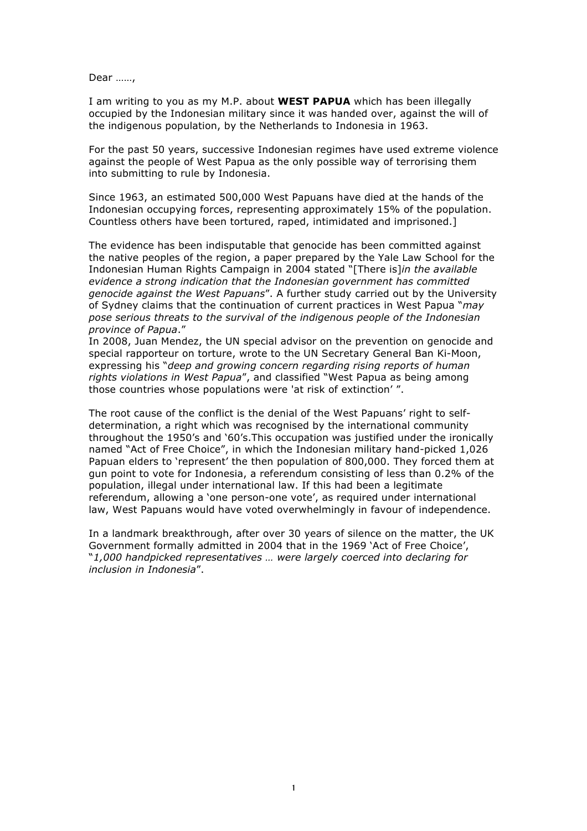Dear ……,

I am writing to you as my M.P. about **WEST PAPUA** which has been illegally occupied by the Indonesian military since it was handed over, against the will of the indigenous population, by the Netherlands to Indonesia in 1963.

For the past 50 years, successive Indonesian regimes have used extreme violence against the people of West Papua as the only possible way of terrorising them into submitting to rule by Indonesia.

Since 1963, an estimated 500,000 West Papuans have died at the hands of the Indonesian occupying forces, representing approximately 15% of the population. Countless others have been tortured, raped, intimidated and imprisoned.]

The evidence has been indisputable that genocide has been committed against the native peoples of the region, a paper prepared by the Yale Law School for the Indonesian Human Rights Campaign in 2004 stated "[There is]*in the available evidence a strong indication that the Indonesian government has committed genocide against the West Papuans*". A further study carried out by the University of Sydney claims that the continuation of current practices in West Papua "*may pose serious threats to the survival of the indigenous people of the Indonesian province of Papua*."

In 2008, Juan Mendez, the UN special advisor on the prevention on genocide and special rapporteur on torture, wrote to the UN Secretary General Ban Ki-Moon, expressing his "*deep and growing concern regarding rising reports of human rights violations in West Papua*", and classified "West Papua as being among those countries whose populations were 'at risk of extinction' ".

The root cause of the conflict is the denial of the West Papuans' right to selfdetermination, a right which was recognised by the international community throughout the 1950's and '60's.This occupation was justified under the ironically named "Act of Free Choice", in which the Indonesian military hand-picked 1,026 Papuan elders to 'represent' the then population of 800,000. They forced them at gun point to vote for Indonesia, a referendum consisting of less than 0.2% of the population, illegal under international law. If this had been a legitimate referendum, allowing a 'one person-one vote', as required under international law, West Papuans would have voted overwhelmingly in favour of independence.

In a landmark breakthrough, after over 30 years of silence on the matter, the UK Government formally admitted in 2004 that in the 1969 'Act of Free Choice', "*1,000 handpicked representatives … were largely coerced into declaring for inclusion in Indonesia*".